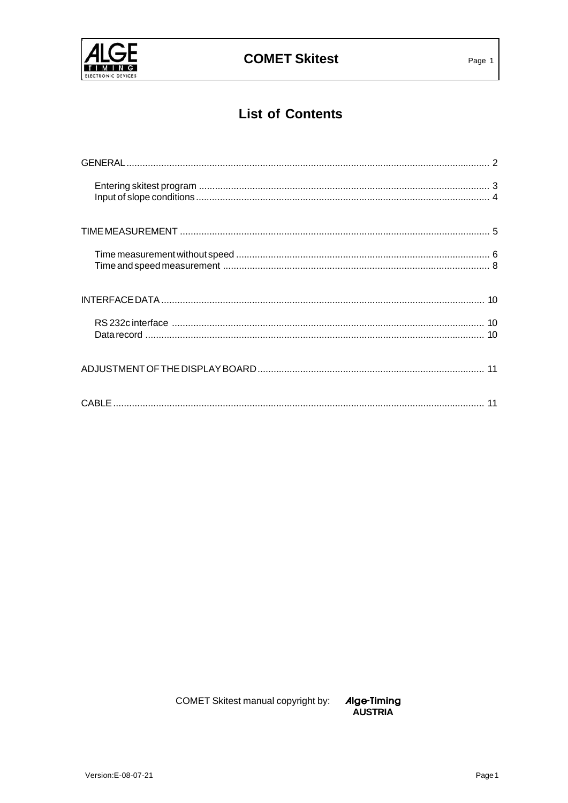

# **List of Contents**

COMET Skitest manual copyright by:

Alge-Timing<br>AUSTRIA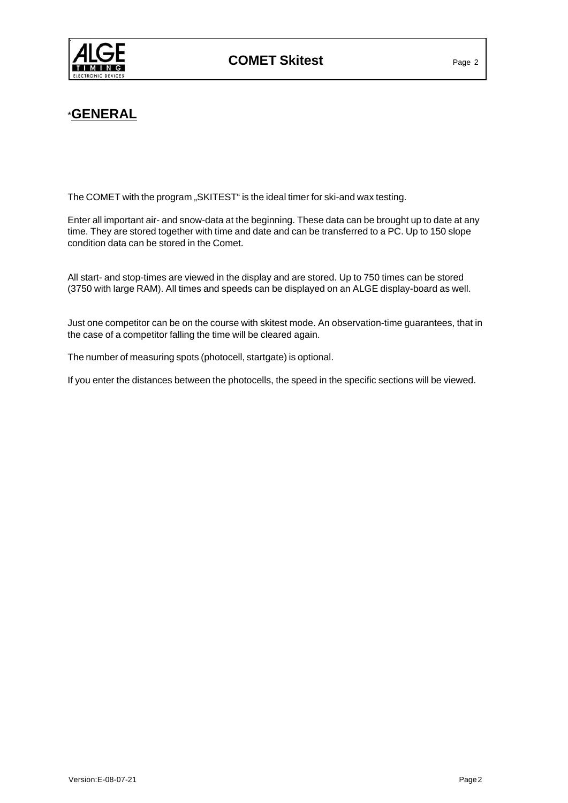

## \***GENERAL**

The COMET with the program "SKITEST" is the ideal timer for ski-and wax testing.

Enter all important air- and snow-data at the beginning. These data can be brought up to date at any time. They are stored together with time and date and can be transferred to a PC. Up to 150 slope condition data can be stored in the Comet.

All start- and stop-times are viewed in the display and are stored. Up to 750 times can be stored (3750 with large RAM). All times and speeds can be displayed on an ALGE display-board as well.

Just one competitor can be on the course with skitest mode. An observation-time guarantees, that in the case of a competitor falling the time will be cleared again.

The number of measuring spots (photocell, startgate) is optional.

If you enter the distances between the photocells, the speed in the specific sections will be viewed.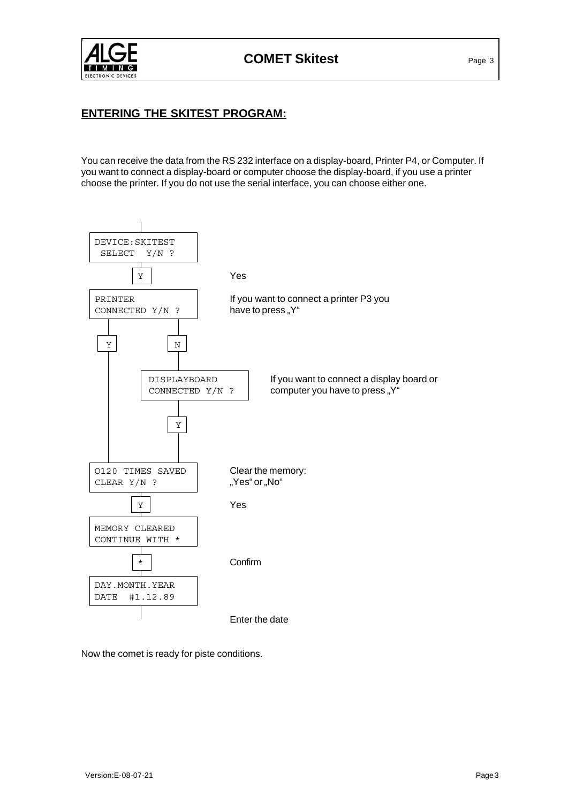

### **ENTERING THE SKITEST PROGRAM:**

You can receive the data from the RS 232 interface on a display-board, Printer P4, or Computer. If you want to connect a display-board or computer choose the display-board, if you use a printer choose the printer. If you do not use the serial interface, you can choose either one.



Now the comet is ready for piste conditions.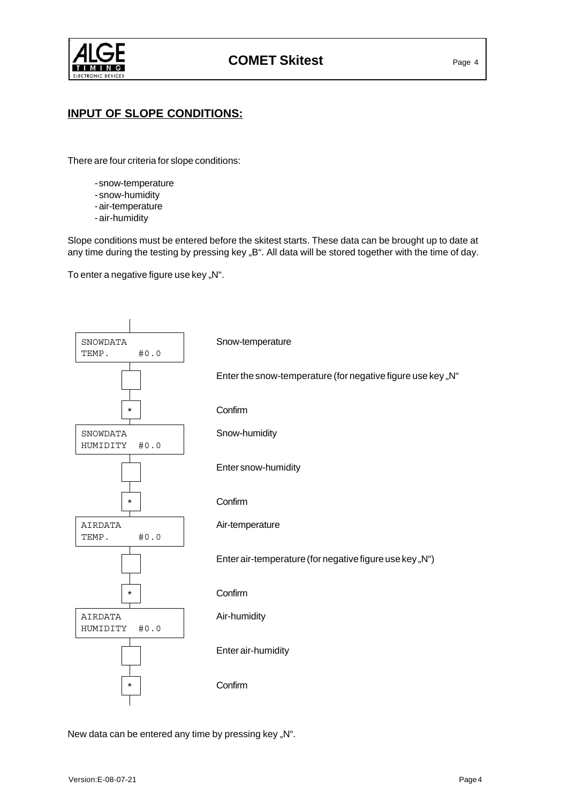

### **INPUT OF SLOPE CONDITIONS:**

There are four criteria for slope conditions:

- snow-temperature
- snow-humidity
- air-temperature
- air-humidity

Slope conditions must be entered before the skitest starts. These data can be brought up to date at any time during the testing by pressing key "B". All data will be stored together with the time of day.

To enter a negative figure use key "N".



New data can be entered any time by pressing key "N".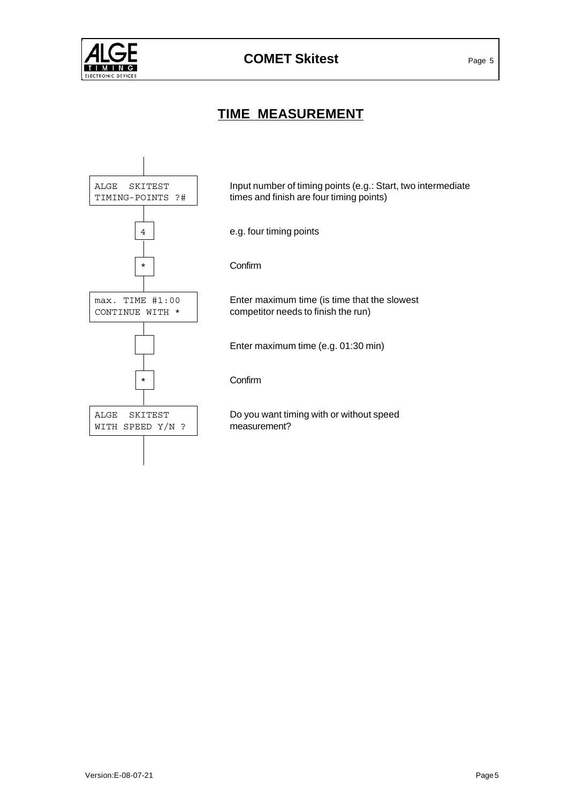

# **TIME MEASUREMENT**

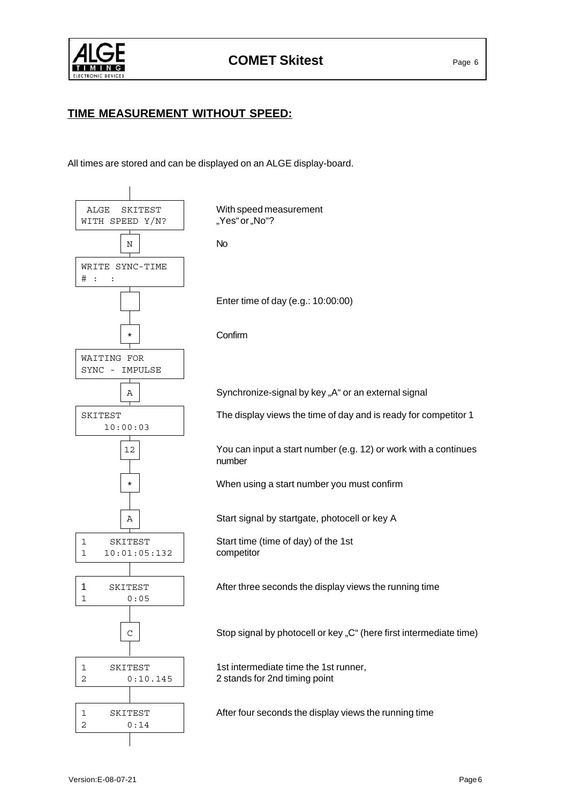

### **TIME MEASUREMENT WITHOUT SPEED:**

All times are stored and can be displayed on an ALGE display-board.

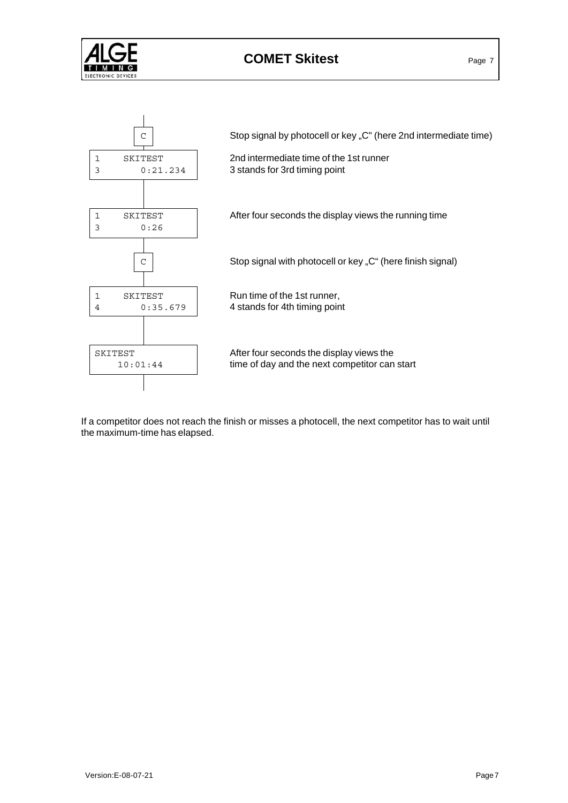

# **COMET Skitest** Page 7



If a competitor does not reach the finish or misses a photocell, the next competitor has to wait until the maximum-time has elapsed.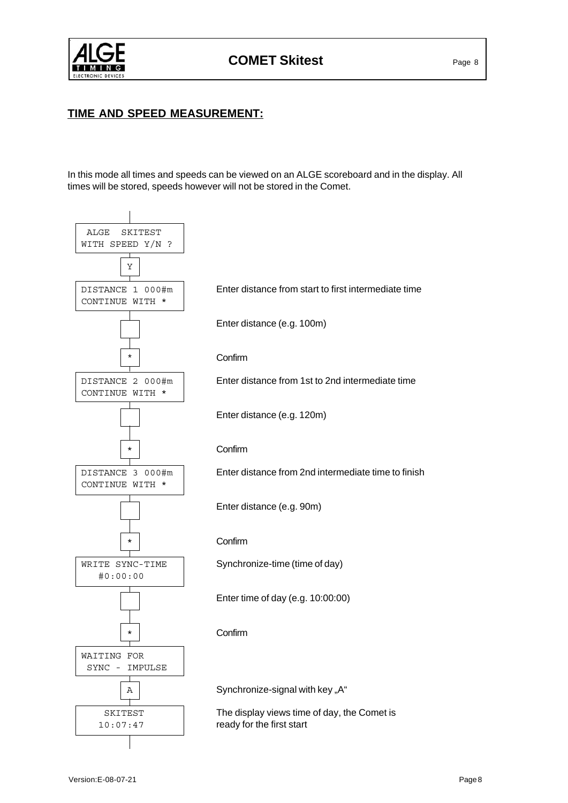

### **TIME AND SPEED MEASUREMENT:**

In this mode all times and speeds can be viewed on an ALGE scoreboard and in the display. All times will be stored, speeds however will not be stored in the Comet.

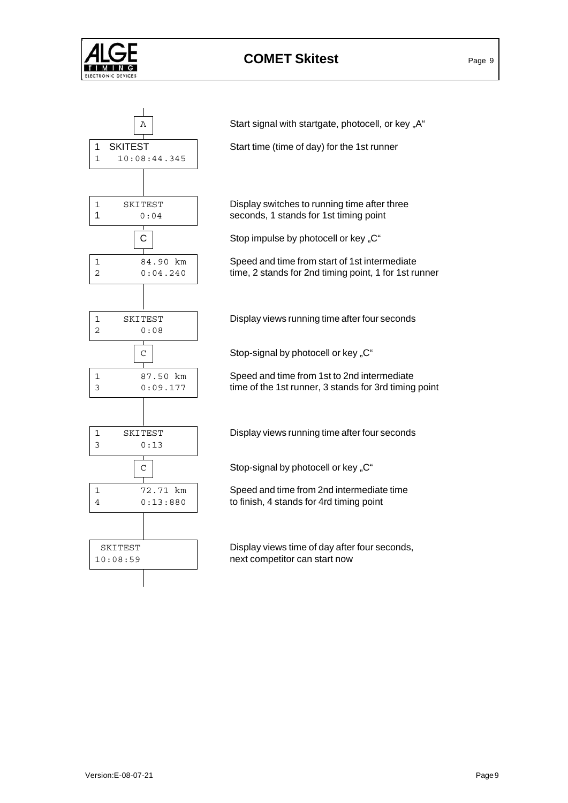

# **COMET Skitest** Page 9



 $A \parallel$  Start signal with startgate, photocell, or key "A"

2 0:04.240 time, 2 stands for 2nd timing point, 1 for 1st runner

3 0:09.177 time of the 1st runner, 3 stands for 3rd timing point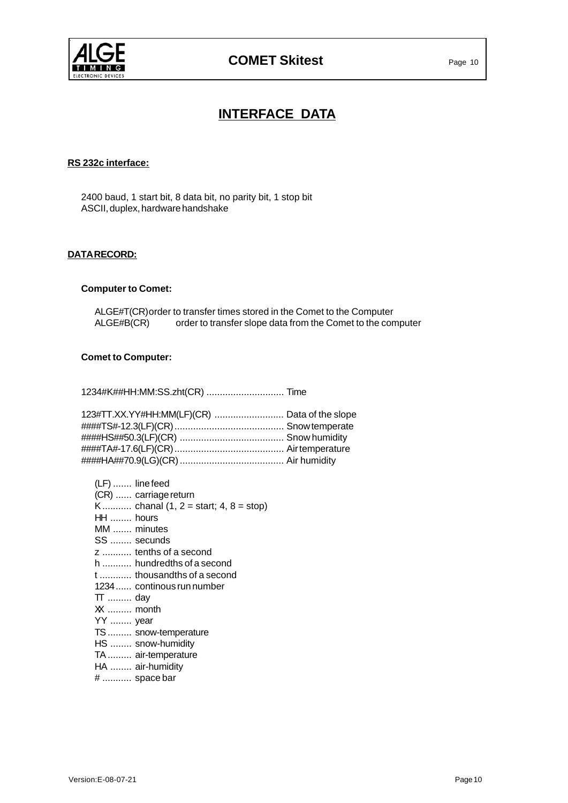

## **INTERFACE DATA**

### **RS 232c interface:**

2400 baud, 1 start bit, 8 data bit, no parity bit, 1 stop bit ASCII, duplex, hardware handshake

#### **DATA RECORD:**

### **Computer to Comet:**

ALGE#T(CR)order to transfer times stored in the Comet to the Computer ALGE#B(CR) order to transfer slope data from the Comet to the computer

### **Comet to Computer:**

1234#K##HH:MM:SS.zht(CR) ............................. Time

| 123#TT.XX.YY#HH:MM(LF)(CR)  Data of the slope |
|-----------------------------------------------|
|                                               |
|                                               |
|                                               |
|                                               |
|                                               |

| (LF)  line feed                        |  |
|----------------------------------------|--|
| (CR)  carriage return                  |  |
| K chanal $(1, 2 = start; 4, 8 = stop)$ |  |
| $HH$ hours                             |  |
| MM  minutes                            |  |
| SS  secunds                            |  |
| z  tenths of a second                  |  |
| h  hundredths of a second              |  |
| t  thousandths of a second             |  |
| 1234  continous run number             |  |
| $TT$ day                               |  |
| XX  month                              |  |
| YY  year                               |  |
| TS  snow-temperature                   |  |
| HS  snow-humidity                      |  |
| TA  air-temperature                    |  |
| HA  air-humidity                       |  |
| #  space bar                           |  |